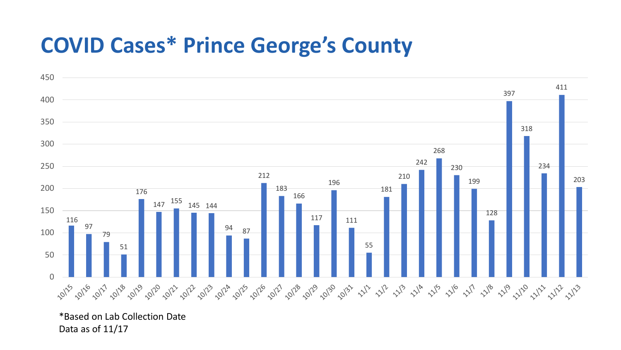## **COVID Cases\* Prince George's County**



\*Based on Lab Collection Date Data as of 11/17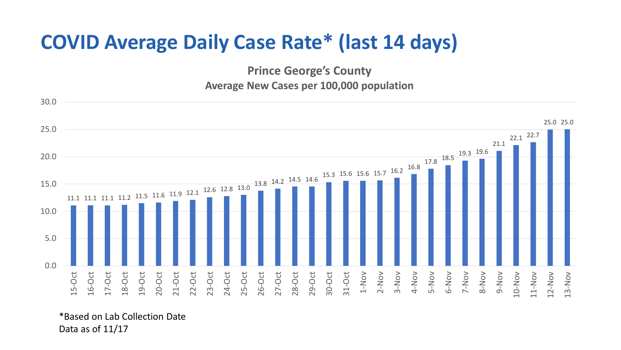## **COVID Average Daily Case Rate\* (last 14 days)**

**Prince George's County Average New Cases per 100,000 population**



\*Based on Lab Collection Date Data as of 11/17